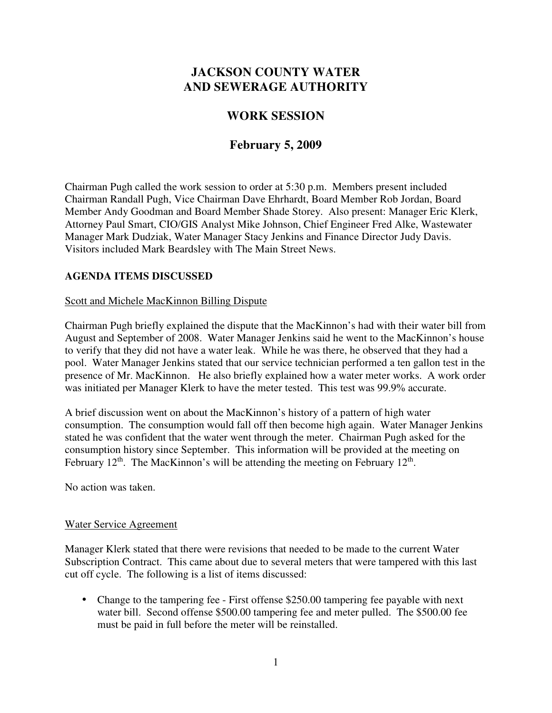# **JACKSON COUNTY WATER AND SEWERAGE AUTHORITY**

# **WORK SESSION**

# **February 5, 2009**

Chairman Pugh called the work session to order at 5:30 p.m. Members present included Chairman Randall Pugh, Vice Chairman Dave Ehrhardt, Board Member Rob Jordan, Board Member Andy Goodman and Board Member Shade Storey. Also present: Manager Eric Klerk, Attorney Paul Smart, CIO/GIS Analyst Mike Johnson, Chief Engineer Fred Alke, Wastewater Manager Mark Dudziak, Water Manager Stacy Jenkins and Finance Director Judy Davis. Visitors included Mark Beardsley with The Main Street News.

## **AGENDA ITEMS DISCUSSED**

### Scott and Michele MacKinnon Billing Dispute

Chairman Pugh briefly explained the dispute that the MacKinnon's had with their water bill from August and September of 2008. Water Manager Jenkins said he went to the MacKinnon's house to verify that they did not have a water leak. While he was there, he observed that they had a pool. Water Manager Jenkins stated that our service technician performed a ten gallon test in the presence of Mr. MacKinnon. He also briefly explained how a water meter works. A work order was initiated per Manager Klerk to have the meter tested. This test was 99.9% accurate.

A brief discussion went on about the MacKinnon's history of a pattern of high water consumption. The consumption would fall off then become high again. Water Manager Jenkins stated he was confident that the water went through the meter. Chairman Pugh asked for the consumption history since September. This information will be provided at the meeting on February  $12^{th}$ . The MacKinnon's will be attending the meeting on February  $12^{th}$ .

No action was taken.

#### Water Service Agreement

Manager Klerk stated that there were revisions that needed to be made to the current Water Subscription Contract. This came about due to several meters that were tampered with this last cut off cycle. The following is a list of items discussed:

• Change to the tampering fee - First offense \$250.00 tampering fee payable with next water bill. Second offense \$500.00 tampering fee and meter pulled. The \$500.00 fee must be paid in full before the meter will be reinstalled.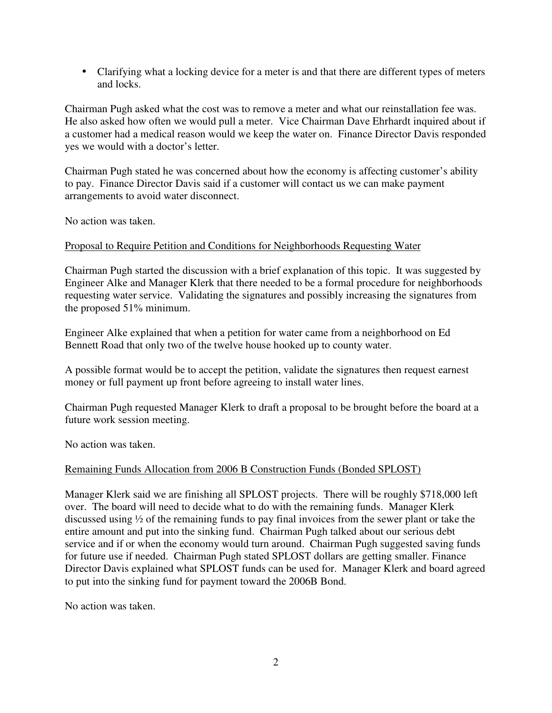• Clarifying what a locking device for a meter is and that there are different types of meters and locks.

Chairman Pugh asked what the cost was to remove a meter and what our reinstallation fee was. He also asked how often we would pull a meter. Vice Chairman Dave Ehrhardt inquired about if a customer had a medical reason would we keep the water on. Finance Director Davis responded yes we would with a doctor's letter.

Chairman Pugh stated he was concerned about how the economy is affecting customer's ability to pay. Finance Director Davis said if a customer will contact us we can make payment arrangements to avoid water disconnect.

No action was taken.

### Proposal to Require Petition and Conditions for Neighborhoods Requesting Water

Chairman Pugh started the discussion with a brief explanation of this topic. It was suggested by Engineer Alke and Manager Klerk that there needed to be a formal procedure for neighborhoods requesting water service. Validating the signatures and possibly increasing the signatures from the proposed 51% minimum.

Engineer Alke explained that when a petition for water came from a neighborhood on Ed Bennett Road that only two of the twelve house hooked up to county water.

A possible format would be to accept the petition, validate the signatures then request earnest money or full payment up front before agreeing to install water lines.

Chairman Pugh requested Manager Klerk to draft a proposal to be brought before the board at a future work session meeting.

No action was taken.

## Remaining Funds Allocation from 2006 B Construction Funds (Bonded SPLOST)

Manager Klerk said we are finishing all SPLOST projects. There will be roughly \$718,000 left over. The board will need to decide what to do with the remaining funds. Manager Klerk discussed using ½ of the remaining funds to pay final invoices from the sewer plant or take the entire amount and put into the sinking fund. Chairman Pugh talked about our serious debt service and if or when the economy would turn around. Chairman Pugh suggested saving funds for future use if needed. Chairman Pugh stated SPLOST dollars are getting smaller. Finance Director Davis explained what SPLOST funds can be used for. Manager Klerk and board agreed to put into the sinking fund for payment toward the 2006B Bond.

No action was taken.